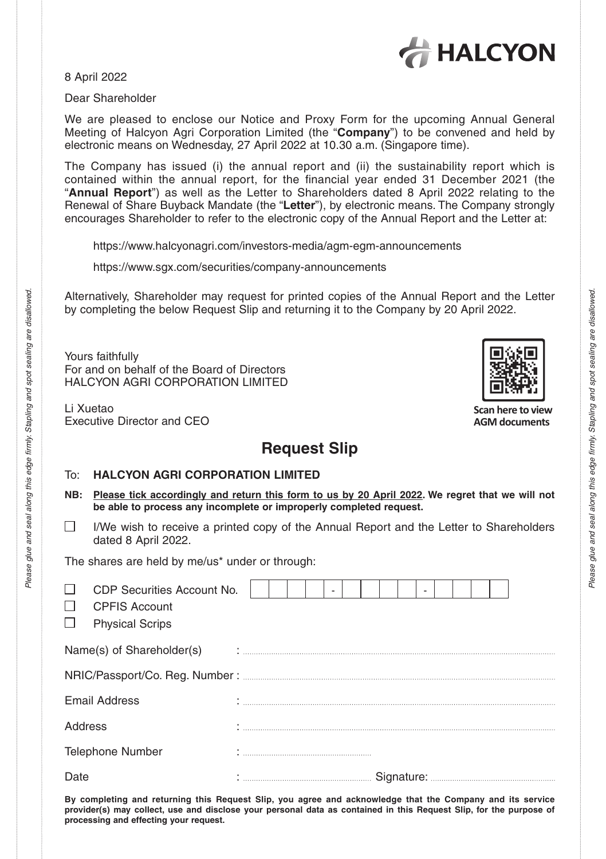

8 April 2022

Dear Shareholder

We are pleased to enclose our Notice and Proxy Form for the upcoming Annual General Meeting of Halcyon Agri Corporation Limited (the "**Company**") to be convened and held by electronic means on Wednesday, 27 April 2022 at 10.30 a.m. (Singapore time).

The Company has issued (i) the annual report and (ii) the sustainability report which is "Annual Report") as well as the Letter to Shareholders dated 8 April 2022 relating to the Renewal of Share Buyback Mandate (the "**Letter**"), by electronic means. The Company strongly encourages Shareholder to refer to the electronic copy of the Annual Report and the Letter at:

https://www.halcyonagri.com/investors-media/agm-egm-announcements

https://www.sgx.com/securities/company-announcements

Alternatively, Shareholder may request for printed copies of the Annual Report and the Letter by completing the below Request Slip and returning it to the Company by 20 April 2022.

Yours faithfully For and on behalf of the Board of Directors HALCYON AGRI CORPORATION LIMITED

Li Xuetao Executive Director and CEO

*Please glue and seal along this edge fi rmly. Stapling and spot sealing are disallowed.*

firmly. S edge this seal along

glue and Please g

Stapling and spot sealing

are disallowed.

## **Request Slip**

## To: **HALCYON AGRI CORPORATION LIMITED**

- **NB: Please tick accordingly and return this form to us by 20 April 2022. We regret that we will not be able to process any incomplete or improperly completed request.**
- $\Box$  I/We wish to receive a printed copy of the Annual Report and the Letter to Shareholders dated 8 April 2022.

The shares are held by me/us\* under or through:

| ⊔<br>$\Box$<br>$\Box$ | CDP Securities Account No.<br><b>CPFIS Account</b><br><b>Physical Scrips</b> |  |  |  |  |  |  |  |  |  |  |  |  |
|-----------------------|------------------------------------------------------------------------------|--|--|--|--|--|--|--|--|--|--|--|--|
|                       |                                                                              |  |  |  |  |  |  |  |  |  |  |  |  |
|                       |                                                                              |  |  |  |  |  |  |  |  |  |  |  |  |
| Email Address         |                                                                              |  |  |  |  |  |  |  |  |  |  |  |  |
| Address               |                                                                              |  |  |  |  |  |  |  |  |  |  |  |  |
|                       | <b>Telephone Number</b>                                                      |  |  |  |  |  |  |  |  |  |  |  |  |
| Date                  |                                                                              |  |  |  |  |  |  |  |  |  |  |  |  |

**By completing and returning this Request Slip, you agree and acknowledge that the Company and its service provider(s) may collect, use and disclose your personal data as contained in this Request Slip, for the purpose of processing and effecting your request.**



**Scan here to view AGM documents**